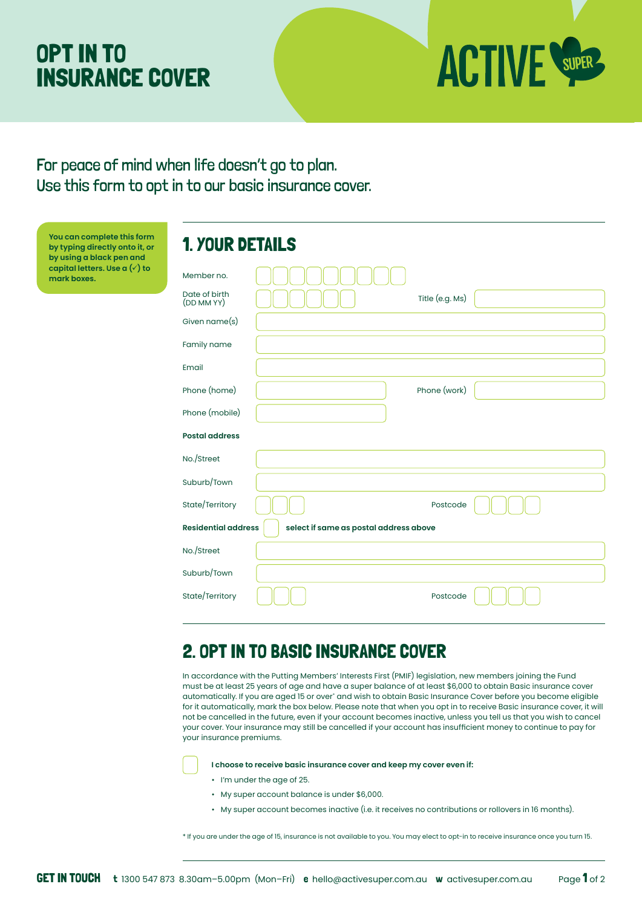# OPT IN TO INSURANCE COVER

**You can complete this form by typing directly onto it, or by using a black pen and capital letters. Use a () to** 

**mark boxes.** 



For peace of mind when life doesn't go to plan. Use this form to opt in to our basic insurance cover.

| ٦<br>ŕ | <b>1. YOUR DETAILS</b>      |                                        |
|--------|-----------------------------|----------------------------------------|
|        | Member no.                  |                                        |
|        | Date of birth<br>(DD MM YY) | Title (e.g. Ms)                        |
|        | Given name(s)               |                                        |
|        | Family name                 |                                        |
|        | Email                       |                                        |
|        | Phone (home)                | Phone (work)                           |
|        | Phone (mobile)              |                                        |
|        | <b>Postal address</b>       |                                        |
|        | No./Street                  |                                        |
|        | Suburb/Town                 |                                        |
|        | State/Territory             | Postcode                               |
|        | <b>Residential address</b>  | select if same as postal address above |
|        | No./Street                  |                                        |
|        | Suburb/Town                 |                                        |
|        | State/Territory             | Postcode                               |

#### 2. OPT IN TO BASIC INSURANCE COVER

In accordance with the Putting Members' Interests First (PMIF) legislation, new members joining the Fund must be at least 25 years of age and have a super balance of at least \$6,000 to obtain Basic insurance cover automatically. If you are aged 15 or over\* and wish to obtain Basic Insurance Cover before you become eligible for it automatically, mark the box below. Please note that when you opt in to receive Basic insurance cover, it will not be cancelled in the future, even if your account becomes inactive, unless you tell us that you wish to cancel your cover. Your insurance may still be cancelled if your account has insufficient money to continue to pay for your insurance premiums.

**I choose to receive basic insurance cover and keep my cover even if:** 

- I'm under the age of 25.
- My super account balance is under \$6,000.
- My super account becomes inactive (i.e. it receives no contributions or rollovers in 16 months).

\* If you are under the age of 15, insurance is not available to you. You may elect to opt-in to receive insurance once you turn 15.